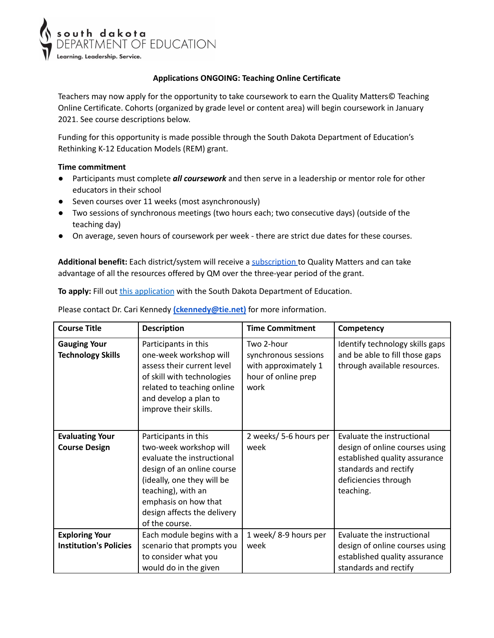

## **Applications ONGOING: Teaching Online Certificate**

Teachers may now apply for the opportunity to take coursework to earn the Quality Matters© Teaching Online Certificate. Cohorts (organized by grade level or content area) will begin coursework in January 2021. See course descriptions below.

Funding for this opportunity is made possible through the South Dakota Department of Education's Rethinking K-12 Education Models (REM) grant.

## **Time commitment**

- Participants must complete *all coursework* and then serve in a leadership or mentor role for other educators in their school
- Seven courses over 11 weeks (most asynchronously)
- Two sessions of synchronous meetings (two hours each; two consecutive days) (outside of the teaching day)
- On average, seven hours of coursework per week there are strict due dates for these courses.

**Additional benefit:** Each district/system will receive a [subscription](https://doe.sd.gov/grants/documents/QMK12Membership.pdf) to Quality Matters and can take advantage of all the resources offered by QM over the three-year period of the grant.

To apply: Fill out *this [application](https://forms.gle/Uqka7u9d38ztgMoPA)* with the South Dakota Department of Education.

Please contact Dr. Cari Kennedy **[\(ckennedy@tie.net\)](mailto:ckennedy@tie.net)** for more information.

| <b>Course Title</b>                             | <b>Description</b>                                                                                                                                                                                                                      | <b>Time Commitment</b>                                                                    | Competency                                                                                                                                                  |
|-------------------------------------------------|-----------------------------------------------------------------------------------------------------------------------------------------------------------------------------------------------------------------------------------------|-------------------------------------------------------------------------------------------|-------------------------------------------------------------------------------------------------------------------------------------------------------------|
| <b>Gauging Your</b><br><b>Technology Skills</b> | Participants in this<br>one-week workshop will<br>assess their current level<br>of skill with technologies<br>related to teaching online<br>and develop a plan to<br>improve their skills.                                              | Two 2-hour<br>synchronous sessions<br>with approximately 1<br>hour of online prep<br>work | Identify technology skills gaps<br>and be able to fill those gaps<br>through available resources.                                                           |
| <b>Evaluating Your</b><br><b>Course Design</b>  | Participants in this<br>two-week workshop will<br>evaluate the instructional<br>design of an online course<br>(ideally, one they will be<br>teaching), with an<br>emphasis on how that<br>design affects the delivery<br>of the course. | 2 weeks/ 5-6 hours per<br>week                                                            | Evaluate the instructional<br>design of online courses using<br>established quality assurance<br>standards and rectify<br>deficiencies through<br>teaching. |
| <b>Exploring Your</b>                           | Each module begins with a                                                                                                                                                                                                               | 1 week/ 8-9 hours per                                                                     | Evaluate the instructional                                                                                                                                  |
| <b>Institution's Policies</b>                   | scenario that prompts you                                                                                                                                                                                                               | week                                                                                      | design of online courses using                                                                                                                              |
|                                                 | to consider what you                                                                                                                                                                                                                    |                                                                                           | established quality assurance                                                                                                                               |
|                                                 | would do in the given                                                                                                                                                                                                                   |                                                                                           | standards and rectify                                                                                                                                       |